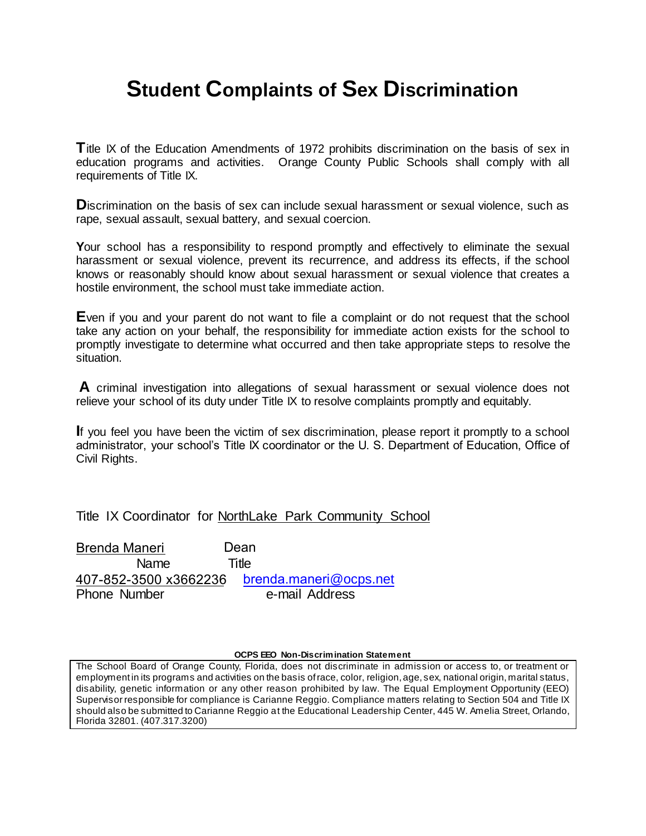## **Student Complaints of Sex Discrimination**

**T**itle IX of the Education Amendments of 1972 prohibits discrimination on the basis of sex in education programs and activities. Orange County Public Schools shall comply with all requirements of Title IX.

**D**iscrimination on the basis of sex can include sexual harassment or sexual violence, such as rape, sexual assault, sexual battery, and sexual coercion.

Your school has a responsibility to respond promptly and effectively to eliminate the sexual harassment or sexual violence, prevent its recurrence, and address its effects, if the school knows or reasonably should know about sexual harassment or sexual violence that creates a hostile environment, the school must take immediate action.

**E**ven if you and your parent do not want to file a complaint or do not request that the school take any action on your behalf, the responsibility for immediate action exists for the school to promptly investigate to determine what occurred and then take appropriate steps to resolve the situation.

**A** criminal investigation into allegations of sexual harassment or sexual violence does not relieve your school of its duty under Title IX to resolve complaints promptly and equitably.

**I**f you feel you have been the victim of sex discrimination, please report it promptly to a school administrator, your school's Title IX coordinator or the U. S. Department of Education, Office of Civil Rights.

## Title IX Coordinator for NorthLake Park Community School

Brenda Maneri Name Title [brenda.maneri](mailto:brenda.maneri@ocps.net)@ocps.net 407-852-3500 x3662236Phone Number e-mail Address Dean

## **OCPS EEO Non-Discrimination Statement**

The School Board of Orange County, Florida, does not discriminate in admission or access to, or treatment or employment in its programs and activities on the basis of race, color, religion, age, sex, national origin, marital status, disability, genetic information or any other reason prohibited by law. The Equal Employment Opportunity (EEO) Supervisor responsible for compliance is Carianne Reggio. Compliance matters relating to Section 504 and Title IX should also be submitted to Carianne Reggio at the Educational Leadership Center, 445 W. Amelia Street, Orlando, Florida 32801. (407.317.3200)